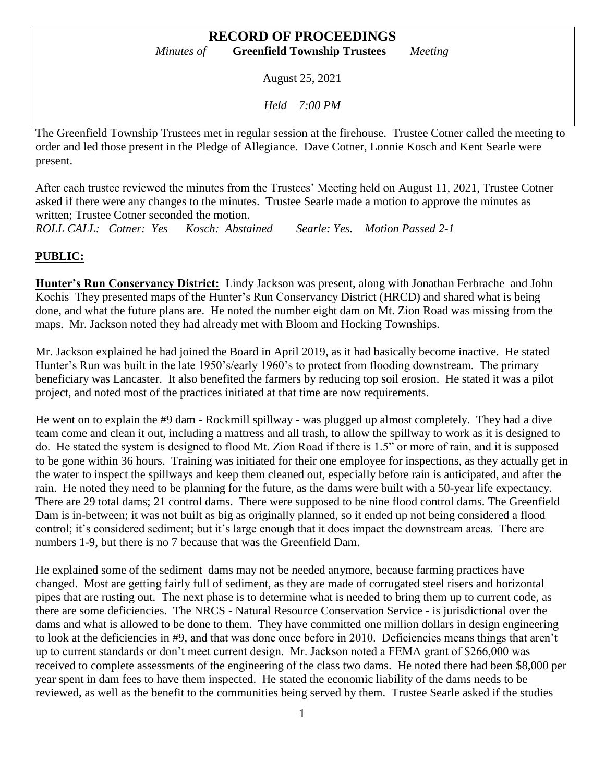August 25, 2021

*Held 7:00 PM*

The Greenfield Township Trustees met in regular session at the firehouse. Trustee Cotner called the meeting to order and led those present in the Pledge of Allegiance. Dave Cotner, Lonnie Kosch and Kent Searle were present.

After each trustee reviewed the minutes from the Trustees' Meeting held on August 11, 2021, Trustee Cotner asked if there were any changes to the minutes. Trustee Searle made a motion to approve the minutes as written; Trustee Cotner seconded the motion.

*ROLL CALL: Cotner: Yes Kosch: Abstained Searle: Yes. Motion Passed 2-1*

# **PUBLIC:**

**Hunter's Run Conservancy District:** Lindy Jackson was present, along with Jonathan Ferbrache and John Kochis They presented maps of the Hunter's Run Conservancy District (HRCD) and shared what is being done, and what the future plans are. He noted the number eight dam on Mt. Zion Road was missing from the maps. Mr. Jackson noted they had already met with Bloom and Hocking Townships.

Mr. Jackson explained he had joined the Board in April 2019, as it had basically become inactive. He stated Hunter's Run was built in the late 1950's/early 1960's to protect from flooding downstream. The primary beneficiary was Lancaster. It also benefited the farmers by reducing top soil erosion. He stated it was a pilot project, and noted most of the practices initiated at that time are now requirements.

He went on to explain the #9 dam - Rockmill spillway - was plugged up almost completely. They had a dive team come and clean it out, including a mattress and all trash, to allow the spillway to work as it is designed to do. He stated the system is designed to flood Mt. Zion Road if there is 1.5" or more of rain, and it is supposed to be gone within 36 hours. Training was initiated for their one employee for inspections, as they actually get in the water to inspect the spillways and keep them cleaned out, especially before rain is anticipated, and after the rain. He noted they need to be planning for the future, as the dams were built with a 50-year life expectancy. There are 29 total dams; 21 control dams. There were supposed to be nine flood control dams. The Greenfield Dam is in-between; it was not built as big as originally planned, so it ended up not being considered a flood control; it's considered sediment; but it's large enough that it does impact the downstream areas. There are numbers 1-9, but there is no 7 because that was the Greenfield Dam.

He explained some of the sediment dams may not be needed anymore, because farming practices have changed. Most are getting fairly full of sediment, as they are made of corrugated steel risers and horizontal pipes that are rusting out. The next phase is to determine what is needed to bring them up to current code, as there are some deficiencies. The NRCS - Natural Resource Conservation Service - is jurisdictional over the dams and what is allowed to be done to them. They have committed one million dollars in design engineering to look at the deficiencies in #9, and that was done once before in 2010. Deficiencies means things that aren't up to current standards or don't meet current design. Mr. Jackson noted a FEMA grant of \$266,000 was received to complete assessments of the engineering of the class two dams. He noted there had been \$8,000 per year spent in dam fees to have them inspected. He stated the economic liability of the dams needs to be reviewed, as well as the benefit to the communities being served by them. Trustee Searle asked if the studies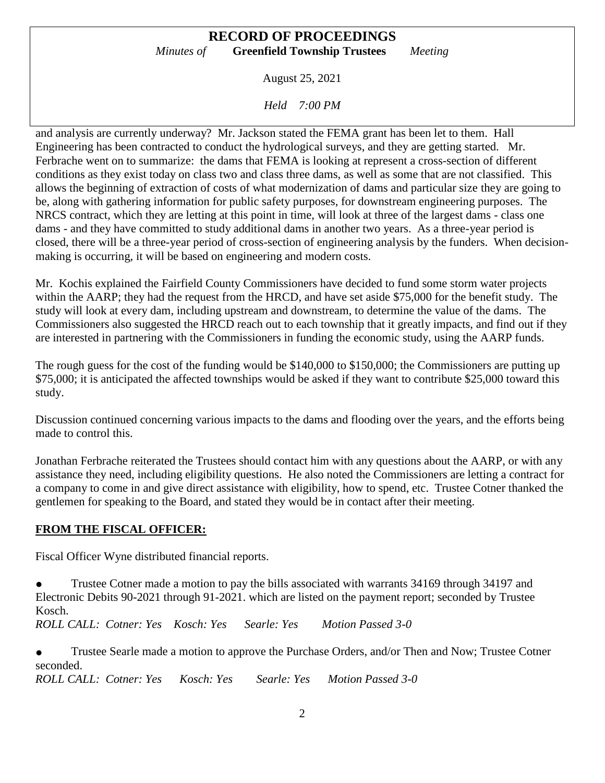August 25, 2021

*Held 7:00 PM*

and analysis are currently underway? Mr. Jackson stated the FEMA grant has been let to them. Hall Engineering has been contracted to conduct the hydrological surveys, and they are getting started. Mr. Ferbrache went on to summarize: the dams that FEMA is looking at represent a cross-section of different conditions as they exist today on class two and class three dams, as well as some that are not classified. This allows the beginning of extraction of costs of what modernization of dams and particular size they are going to be, along with gathering information for public safety purposes, for downstream engineering purposes. The NRCS contract, which they are letting at this point in time, will look at three of the largest dams - class one dams - and they have committed to study additional dams in another two years. As a three-year period is closed, there will be a three-year period of cross-section of engineering analysis by the funders. When decisionmaking is occurring, it will be based on engineering and modern costs.

Mr. Kochis explained the Fairfield County Commissioners have decided to fund some storm water projects within the AARP; they had the request from the HRCD, and have set aside \$75,000 for the benefit study. The study will look at every dam, including upstream and downstream, to determine the value of the dams. The Commissioners also suggested the HRCD reach out to each township that it greatly impacts, and find out if they are interested in partnering with the Commissioners in funding the economic study, using the AARP funds.

The rough guess for the cost of the funding would be \$140,000 to \$150,000; the Commissioners are putting up \$75,000; it is anticipated the affected townships would be asked if they want to contribute \$25,000 toward this study.

Discussion continued concerning various impacts to the dams and flooding over the years, and the efforts being made to control this.

Jonathan Ferbrache reiterated the Trustees should contact him with any questions about the AARP, or with any assistance they need, including eligibility questions. He also noted the Commissioners are letting a contract for a company to come in and give direct assistance with eligibility, how to spend, etc. Trustee Cotner thanked the gentlemen for speaking to the Board, and stated they would be in contact after their meeting.

### **FROM THE FISCAL OFFICER:**

Fiscal Officer Wyne distributed financial reports.

• Trustee Cotner made a motion to pay the bills associated with warrants 34169 through 34197 and Electronic Debits 90-2021 through 91-2021. which are listed on the payment report; seconded by Trustee Kosch.

*ROLL CALL: Cotner: Yes Kosch: Yes Searle: Yes Motion Passed 3-0*

• Trustee Searle made a motion to approve the Purchase Orders, and/or Then and Now; Trustee Cotner seconded.

*ROLL CALL: Cotner: Yes Kosch: Yes Searle: Yes Motion Passed 3-0*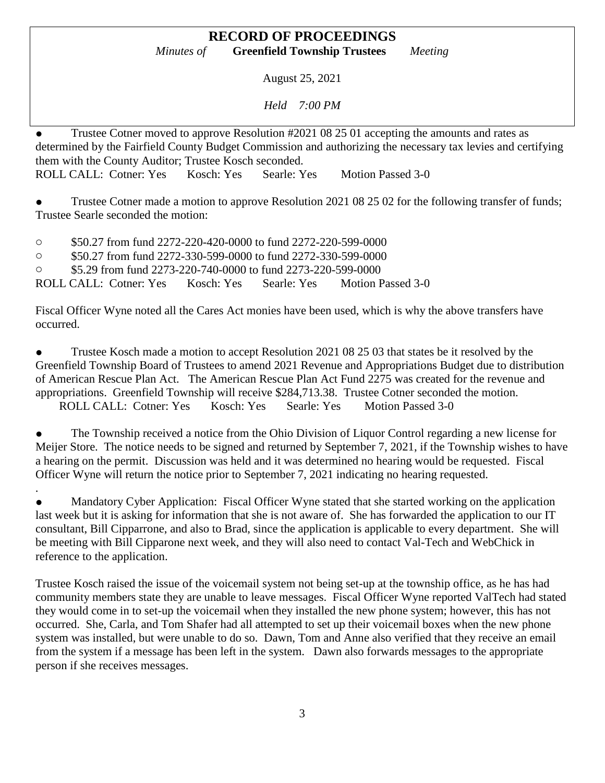August 25, 2021

*Held 7:00 PM*

• Trustee Cotner moved to approve Resolution #2021 08 25 01 accepting the amounts and rates as determined by the Fairfield County Budget Commission and authorizing the necessary tax levies and certifying them with the County Auditor; Trustee Kosch seconded. ROLL CALL: Cotner: Yes Kosch: Yes Searle: Yes Motion Passed 3-0

Trustee Cotner made a motion to approve Resolution 2021 08 25 02 for the following transfer of funds; Trustee Searle seconded the motion:

o \$50.27 from fund 2272-220-420-0000 to fund 2272-220-599-0000

o \$50.27 from fund 2272-330-599-0000 to fund 2272-330-599-0000

o \$5.29 from fund 2273-220-740-0000 to fund 2273-220-599-0000

.

ROLL CALL: Cotner: Yes Kosch: Yes Searle: Yes Motion Passed 3-0

Fiscal Officer Wyne noted all the Cares Act monies have been used, which is why the above transfers have occurred.

• Trustee Kosch made a motion to accept Resolution 2021 08 25 03 that states be it resolved by the Greenfield Township Board of Trustees to amend 2021 Revenue and Appropriations Budget due to distribution of American Rescue Plan Act. The American Rescue Plan Act Fund 2275 was created for the revenue and appropriations. Greenfield Township will receive \$284,713.38. Trustee Cotner seconded the motion. ROLL CALL: Cotner: Yes Kosch: Yes Searle: Yes Motion Passed 3-0

The Township received a notice from the Ohio Division of Liquor Control regarding a new license for Meijer Store. The notice needs to be signed and returned by September 7, 2021, if the Township wishes to have a hearing on the permit. Discussion was held and it was determined no hearing would be requested. Fiscal Officer Wyne will return the notice prior to September 7, 2021 indicating no hearing requested.

Mandatory Cyber Application: Fiscal Officer Wyne stated that she started working on the application last week but it is asking for information that she is not aware of. She has forwarded the application to our IT consultant, Bill Cipparrone, and also to Brad, since the application is applicable to every department. She will be meeting with Bill Cipparone next week, and they will also need to contact Val-Tech and WebChick in reference to the application.

Trustee Kosch raised the issue of the voicemail system not being set-up at the township office, as he has had community members state they are unable to leave messages. Fiscal Officer Wyne reported ValTech had stated they would come in to set-up the voicemail when they installed the new phone system; however, this has not occurred. She, Carla, and Tom Shafer had all attempted to set up their voicemail boxes when the new phone system was installed, but were unable to do so. Dawn, Tom and Anne also verified that they receive an email from the system if a message has been left in the system. Dawn also forwards messages to the appropriate person if she receives messages.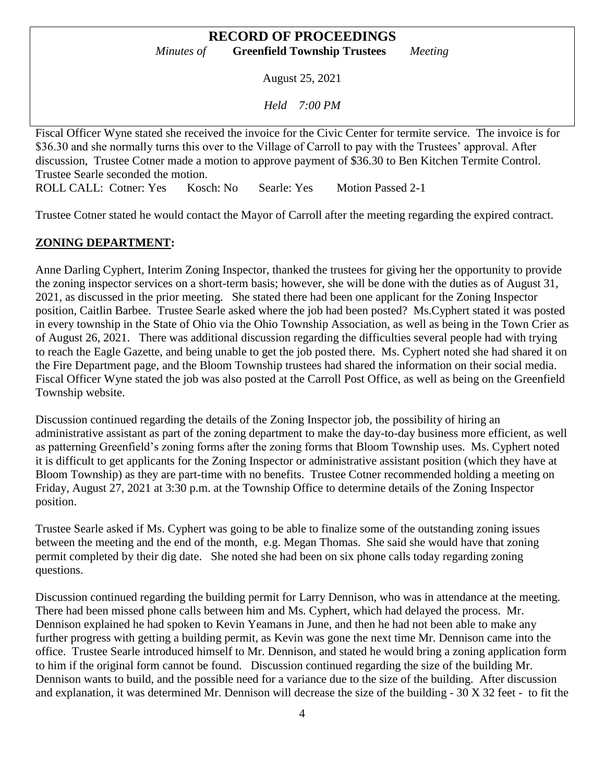August 25, 2021

*Held 7:00 PM*

Fiscal Officer Wyne stated she received the invoice for the Civic Center for termite service. The invoice is for \$36.30 and she normally turns this over to the Village of Carroll to pay with the Trustees' approval. After discussion, Trustee Cotner made a motion to approve payment of \$36.30 to Ben Kitchen Termite Control. Trustee Searle seconded the motion.

ROLL CALL: Cotner: Yes Kosch: No Searle: Yes Motion Passed 2-1

Trustee Cotner stated he would contact the Mayor of Carroll after the meeting regarding the expired contract.

### **ZONING DEPARTMENT:**

Anne Darling Cyphert, Interim Zoning Inspector, thanked the trustees for giving her the opportunity to provide the zoning inspector services on a short-term basis; however, she will be done with the duties as of August 31, 2021, as discussed in the prior meeting. She stated there had been one applicant for the Zoning Inspector position, Caitlin Barbee. Trustee Searle asked where the job had been posted? Ms.Cyphert stated it was posted in every township in the State of Ohio via the Ohio Township Association, as well as being in the Town Crier as of August 26, 2021. There was additional discussion regarding the difficulties several people had with trying to reach the Eagle Gazette, and being unable to get the job posted there. Ms. Cyphert noted she had shared it on the Fire Department page, and the Bloom Township trustees had shared the information on their social media. Fiscal Officer Wyne stated the job was also posted at the Carroll Post Office, as well as being on the Greenfield Township website.

Discussion continued regarding the details of the Zoning Inspector job, the possibility of hiring an administrative assistant as part of the zoning department to make the day-to-day business more efficient, as well as patterning Greenfield's zoning forms after the zoning forms that Bloom Township uses. Ms. Cyphert noted it is difficult to get applicants for the Zoning Inspector or administrative assistant position (which they have at Bloom Township) as they are part-time with no benefits. Trustee Cotner recommended holding a meeting on Friday, August 27, 2021 at 3:30 p.m. at the Township Office to determine details of the Zoning Inspector position.

Trustee Searle asked if Ms. Cyphert was going to be able to finalize some of the outstanding zoning issues between the meeting and the end of the month, e.g. Megan Thomas. She said she would have that zoning permit completed by their dig date. She noted she had been on six phone calls today regarding zoning questions.

Discussion continued regarding the building permit for Larry Dennison, who was in attendance at the meeting. There had been missed phone calls between him and Ms. Cyphert, which had delayed the process. Mr. Dennison explained he had spoken to Kevin Yeamans in June, and then he had not been able to make any further progress with getting a building permit, as Kevin was gone the next time Mr. Dennison came into the office. Trustee Searle introduced himself to Mr. Dennison, and stated he would bring a zoning application form to him if the original form cannot be found. Discussion continued regarding the size of the building Mr. Dennison wants to build, and the possible need for a variance due to the size of the building. After discussion and explanation, it was determined Mr. Dennison will decrease the size of the building - 30 X 32 feet - to fit the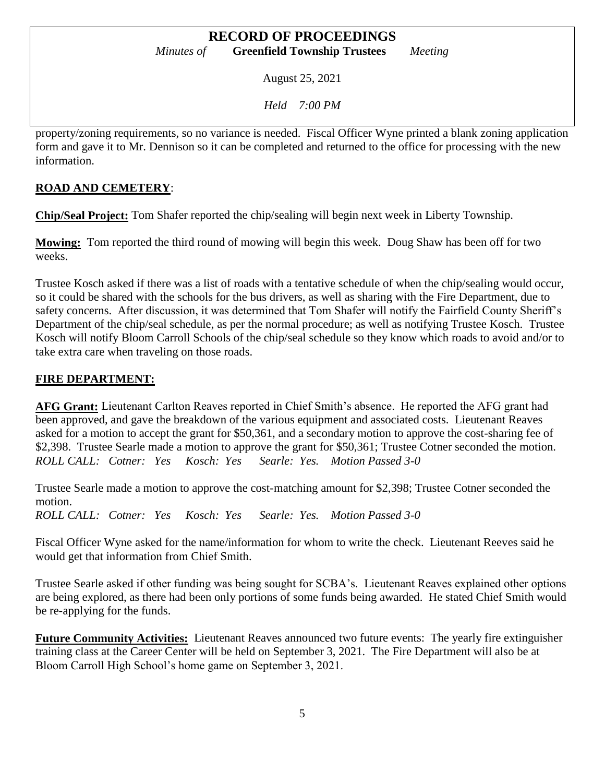August 25, 2021

*Held 7:00 PM*

property/zoning requirements, so no variance is needed. Fiscal Officer Wyne printed a blank zoning application form and gave it to Mr. Dennison so it can be completed and returned to the office for processing with the new information.

# **ROAD AND CEMETERY**:

**Chip/Seal Project:** Tom Shafer reported the chip/sealing will begin next week in Liberty Township.

**Mowing:** Tom reported the third round of mowing will begin this week. Doug Shaw has been off for two weeks.

Trustee Kosch asked if there was a list of roads with a tentative schedule of when the chip/sealing would occur, so it could be shared with the schools for the bus drivers, as well as sharing with the Fire Department, due to safety concerns. After discussion, it was determined that Tom Shafer will notify the Fairfield County Sheriff's Department of the chip/seal schedule, as per the normal procedure; as well as notifying Trustee Kosch. Trustee Kosch will notify Bloom Carroll Schools of the chip/seal schedule so they know which roads to avoid and/or to take extra care when traveling on those roads.

# **FIRE DEPARTMENT:**

**AFG Grant:** Lieutenant Carlton Reaves reported in Chief Smith's absence. He reported the AFG grant had been approved, and gave the breakdown of the various equipment and associated costs. Lieutenant Reaves asked for a motion to accept the grant for \$50,361, and a secondary motion to approve the cost-sharing fee of \$2,398. Trustee Searle made a motion to approve the grant for \$50,361; Trustee Cotner seconded the motion. *ROLL CALL: Cotner: Yes Kosch: Yes Searle: Yes. Motion Passed 3-0*

Trustee Searle made a motion to approve the cost-matching amount for \$2,398; Trustee Cotner seconded the motion.

*ROLL CALL: Cotner: Yes Kosch: Yes Searle: Yes. Motion Passed 3-0*

Fiscal Officer Wyne asked for the name/information for whom to write the check. Lieutenant Reeves said he would get that information from Chief Smith.

Trustee Searle asked if other funding was being sought for SCBA's. Lieutenant Reaves explained other options are being explored, as there had been only portions of some funds being awarded. He stated Chief Smith would be re-applying for the funds.

**Future Community Activities:** Lieutenant Reaves announced two future events: The yearly fire extinguisher training class at the Career Center will be held on September 3, 2021. The Fire Department will also be at Bloom Carroll High School's home game on September 3, 2021.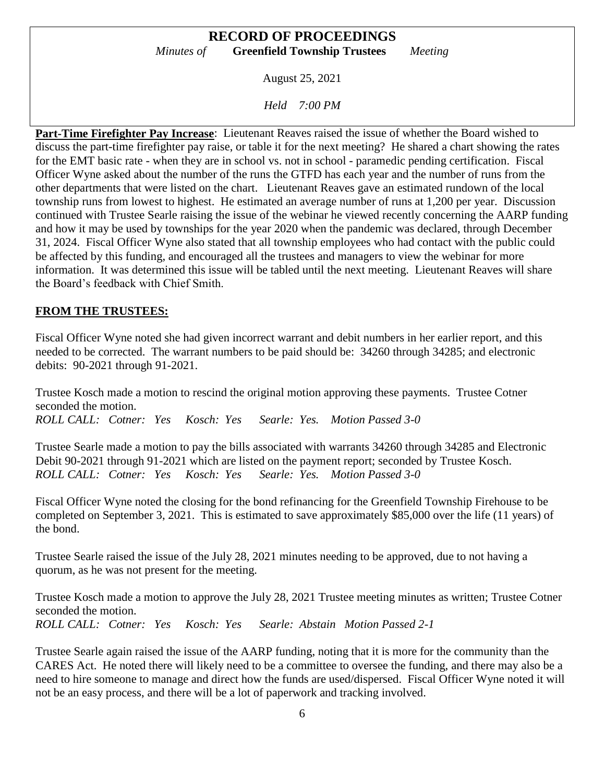August 25, 2021

*Held 7:00 PM*

**Part-Time Firefighter Pay Increase**: Lieutenant Reaves raised the issue of whether the Board wished to discuss the part-time firefighter pay raise, or table it for the next meeting? He shared a chart showing the rates for the EMT basic rate - when they are in school vs. not in school - paramedic pending certification. Fiscal Officer Wyne asked about the number of the runs the GTFD has each year and the number of runs from the other departments that were listed on the chart. Lieutenant Reaves gave an estimated rundown of the local township runs from lowest to highest. He estimated an average number of runs at 1,200 per year. Discussion continued with Trustee Searle raising the issue of the webinar he viewed recently concerning the AARP funding and how it may be used by townships for the year 2020 when the pandemic was declared, through December 31, 2024. Fiscal Officer Wyne also stated that all township employees who had contact with the public could be affected by this funding, and encouraged all the trustees and managers to view the webinar for more information. It was determined this issue will be tabled until the next meeting. Lieutenant Reaves will share the Board's feedback with Chief Smith.

#### **FROM THE TRUSTEES:**

Fiscal Officer Wyne noted she had given incorrect warrant and debit numbers in her earlier report, and this needed to be corrected. The warrant numbers to be paid should be: 34260 through 34285; and electronic debits: 90-2021 through 91-2021.

Trustee Kosch made a motion to rescind the original motion approving these payments. Trustee Cotner seconded the motion. *ROLL CALL: Cotner: Yes Kosch: Yes Searle: Yes. Motion Passed 3-0*

Trustee Searle made a motion to pay the bills associated with warrants 34260 through 34285 and Electronic Debit 90-2021 through 91-2021 which are listed on the payment report; seconded by Trustee Kosch. *ROLL CALL: Cotner: Yes Kosch: Yes Searle: Yes. Motion Passed 3-0*

Fiscal Officer Wyne noted the closing for the bond refinancing for the Greenfield Township Firehouse to be completed on September 3, 2021. This is estimated to save approximately \$85,000 over the life (11 years) of the bond.

Trustee Searle raised the issue of the July 28, 2021 minutes needing to be approved, due to not having a quorum, as he was not present for the meeting.

Trustee Kosch made a motion to approve the July 28, 2021 Trustee meeting minutes as written; Trustee Cotner seconded the motion. *ROLL CALL: Cotner: Yes Kosch: Yes Searle: Abstain Motion Passed 2-1*

Trustee Searle again raised the issue of the AARP funding, noting that it is more for the community than the CARES Act. He noted there will likely need to be a committee to oversee the funding, and there may also be a need to hire someone to manage and direct how the funds are used/dispersed. Fiscal Officer Wyne noted it will not be an easy process, and there will be a lot of paperwork and tracking involved.